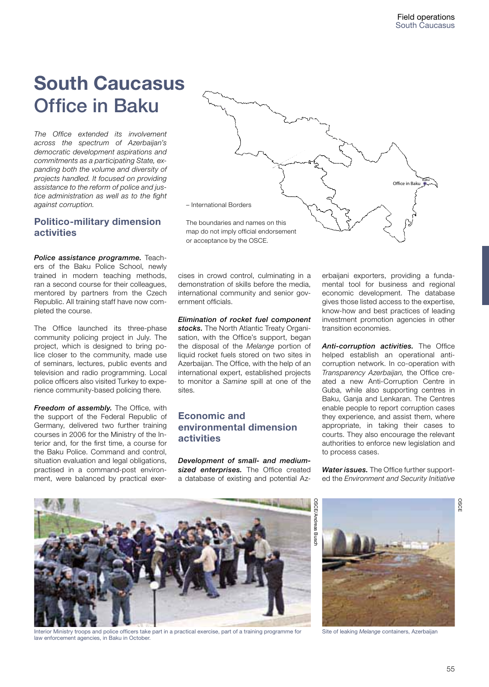# **South Caucasus** Office in Baku

*The Office extended its involvement across the spectrum of Azerbaijan's democratic development aspirations and commitments as a participating State, expanding both the volume and diversity of projects handled. It focused on providing assistance to the reform of police and justice administration as well as to the fight against corruption.*

# **Politico-military dimension activities**

*Police assistance programme.* Teachers of the Baku Police School, newly trained in modern teaching methods, ran a second course for their colleagues, mentored by partners from the Czech Republic. All training staff have now completed the course.

The Office launched its three-phase community policing project in July. The project, which is designed to bring police closer to the community, made use of seminars, lectures, public events and television and radio programming. Local police officers also visited Turkey to experience community-based policing there.

*Freedom of assembly.* The Office, with the support of the Federal Republic of Germany, delivered two further training courses in 2006 for the Ministry of the Interior and, for the first time, a course for the Baku Police. Command and control, situation evaluation and legal obligations, practised in a command-post environment, were balanced by practical exer-



cises in crowd control, culminating in a demonstration of skills before the media, international community and senior government officials.

*Elimination of rocket fuel component stocks.* The North Atlantic Treaty Organisation, with the Office's support, began the disposal of the *Melange* portion of liquid rocket fuels stored on two sites in Azerbaijan. The Office, with the help of an international expert, established projects to monitor a *Samine* spill at one of the sites.

## **Economic and environmental dimension activities**

*Development of small- and mediumsized enterprises.* The Office created a database of existing and potential Az-

erbaijani exporters, providing a fundamental tool for business and regional economic development. The database gives those listed access to the expertise, know-how and best practices of leading investment promotion agencies in other transition economies.

*Anti-corruption activities.* The Office helped establish an operational anticorruption network. In co-operation with *Transparency Azerbaijan,* the Office created a new Anti-Corruption Centre in Guba, while also supporting centres in Baku, Ganja and Lenkaran. The Centres enable people to report corruption cases they experience, and assist them, where appropriate, in taking their cases to courts. They also encourage the relevant authorities to enforce new legislation and to process cases.

*Water issues.* The Office further supported the *Environment and Security Initiative* 



Interior Ministry troops and police officers take part in a practical exercise, part of a training programme for law enforcement agencies, in Baku in October.



Site of leaking *Melange* containers, Azerbaijan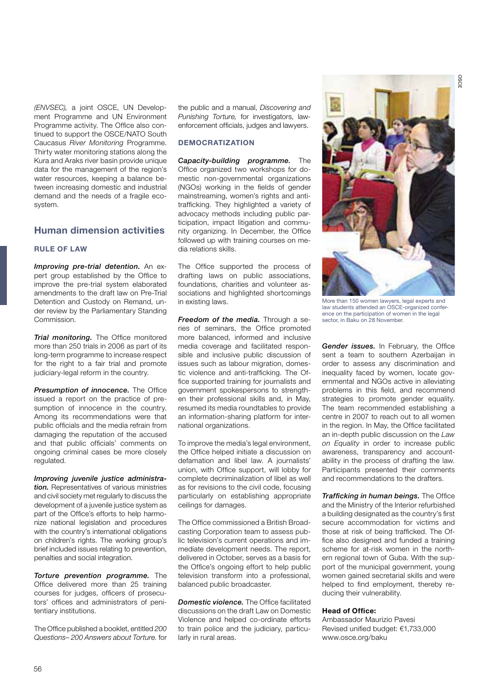*(ENVSEC),* a joint OSCE, UN Development Programme and UN Environment Programme activity. The Office also continued to support the OSCE/NATO South Caucasus *River Monitoring* Programme. Thirty water monitoring stations along the Kura and Araks river basin provide unique data for the management of the region's water resources, keeping a balance between increasing domestic and industrial demand and the needs of a fragile ecosystem.

## **Human dimension activities**

## **RULE OF LAW**

*Improving pre-trial detention.* An expert group established by the Office to improve the pre-trial system elaborated amendments to the draft law on Pre-Trial Detention and Custody on Remand, under review by the Parliamentary Standing Commission.

**Trial monitoring.** The Office monitored more than 250 trials in 2006 as part of its long-term programme to increase respect for the right to a fair trial and promote judiciary-legal reform in the country.

**Presumption of innocence.** The Office issued a report on the practice of presumption of innocence in the country. Among its recommendations were that public officials and the media refrain from damaging the reputation of the accused and that public officials' comments on ongoing criminal cases be more closely regulated.

*Improving juvenile justice administration.* Representatives of various ministries and civil society met regularly to discuss the development of a juvenile justice system as part of the Office's efforts to help harmonize national legislation and procedures with the country's international obligations on children's rights. The working group's brief included issues relating to prevention, penalties and social integration.

*Torture prevention programme.* The Office delivered more than 25 training courses for judges, officers of prosecutors' offices and administrators of penitentiary institutions.

The Office published a booklet, entitled *200 Questions– 200 Answers about Torture.* for the public and a manual, *Discovering and Punishing Torture,* for investigators, lawenforcement officials, judges and lawyers.

## **DEMOCRATIZATION**

*Capacity-building programme.* The Office organized two workshops for domestic non-governmental organizations (NGOs) working in the fields of gender mainstreaming, women's rights and antitrafficking. They highlighted a variety of advocacy methods including public participation, impact litigation and community organizing. In December, the Office followed up with training courses on media relations skills.

The Office supported the process of drafting laws on public associations, foundations, charities and volunteer associations and highlighted shortcomings in existing laws.

*Freedom of the media.* Through a series of seminars, the Office promoted more balanced, informed and inclusive media coverage and facilitated responsible and inclusive public discussion of issues such as labour migration, domestic violence and anti-trafficking. The Office supported training for journalists and government spokespersons to strengthen their professional skills and, in May, resumed its media roundtables to provide an information-sharing platform for international organizations.

To improve the media's legal environment, the Office helped initiate a discussion on defamation and libel law. A journalists' union, with Office support, will lobby for complete decriminalization of libel as well as for revisions to the civil code, focusing particularly on establishing appropriate ceilings for damages.

The Office commissioned a British Broadcasting Corporation team to assess public television's current operations and immediate development needs. The report, delivered in October, serves as a basis for the Office's ongoing effort to help public television transform into a professional, balanced public broadcaster.

*Domestic violence.* The Office facilitated discussions on the draft Law on Domestic Violence and helped co-ordinate efforts to train police and the judiciary, particularly in rural areas.



More than 150 women lawyers, legal experts and law students attended an OSCE-organized conference on the participation of women in the legal sector, in Baku on 28 November.

*Gender issues.* In February, the Office sent a team to southern Azerbaijan in order to assess any discrimination and inequality faced by women, locate governmental and NGOs active in alleviating problems in this field, and recommend strategies to promote gender equality. The team recommended establishing a centre in 2007 to reach out to all women in the region. In May, the Office facilitated an in-depth public discussion on the *Law on Equality* in order to increase public awareness, transparency and accountability in the process of drafting the law. Participants presented their comments and recommendations to the drafters.

*Trafficking in human beings.* The Office and the Ministry of the Interior refurbished a building designated as the country's first secure accommodation for victims and those at risk of being trafficked. The Office also designed and funded a training scheme for at-risk women in the northern regional town of Guba. With the support of the municipal government, young women gained secretarial skills and were helped to find employment, thereby reducing their vulnerability.

#### **Head of Office:**

Ambassador Maurizio Pavesi Revised unified budget: €1,733,000 www.osce.org/baku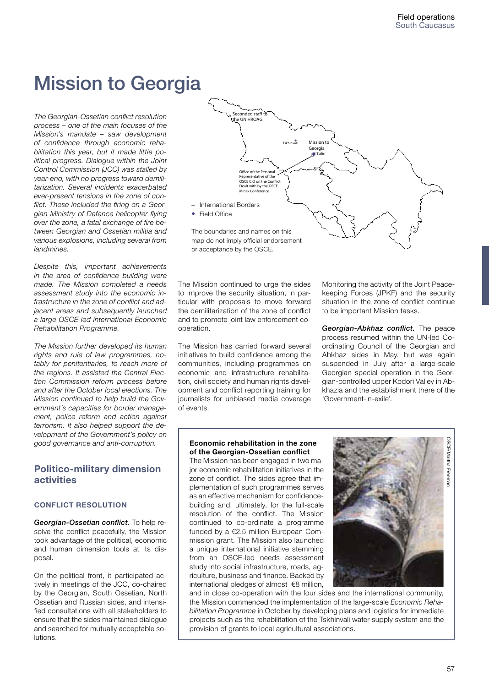# Mission to Georgia

*The Georgian-Ossetian conflict resolution process – one of the main focuses of the Mission's mandate – saw development of confidence through economic rehabilitation this year, but it made little political progress. Dialogue within the Joint Control Commission (JCC) was stalled by year-end, with no progress toward demilitarization. Several incidents exacerbated ever-present tensions in the zone of conflict. These included the firing on a Georgian Ministry of Defence helicopter flying over the zone, a fatal exchange of fire between Georgian and Ossetian militia and various explosions, including several from landmines.*

*Despite this, important achievements in the area of confidence building were made. The Mission completed a needs assessment study into the economic infrastructure in the zone of conflict and adjacent areas and subsequently launched a large OSCE-led international Economic Rehabilitation Programme.* 

*The Mission further developed its human rights and rule of law programmes, notably for penitentiaries, to reach more of the regions. It assisted the Central Election Commission reform process before and after the October local elections. The Mission continued to help build the Government's capacities for border management, police reform and action against terrorism. It also helped support the development of the Government's policy on good governance and anti-corruption.* 

## **Politico-military dimension activities**

## **CONFLICT RESOLUTION**

*Georgian-Ossetian conflict.* To help resolve the conflict peacefully, the Mission took advantage of the political, economic and human dimension tools at its disposal.

On the political front, it participated actively in meetings of the JCC, co-chaired by the Georgian, South Ossetian, North Ossetian and Russian sides, and intensified consultations with all stakeholders to ensure that the sides maintained dialogue and searched for mutually acceptable solutions.



The Mission continued to urge the sides to improve the security situation, in particular with proposals to move forward the demilitarization of the zone of conflict and to promote joint law enforcement cooperation.

The Mission has carried forward several initiatives to build confidence among the communities, including programmes on economic and infrastructure rehabilitation, civil society and human rights development and conflict reporting training for journalists for unbiased media coverage of events.

Monitoring the activity of the Joint Peacekeeping Forces (JPKF) and the security situation in the zone of conflict continue to be important Mission tasks.

*Georgian-Abkhaz conflict.* The peace process resumed within the UN-led Coordinating Council of the Georgian and Abkhaz sides in May, but was again suspended in July after a large-scale Georgian special operation in the Georgian-controlled upper Kodori Valley in Abkhazia and the establishment there of the 'Government-in-exile'.

## **Economic rehabilitation in the zone of the Georgian-Ossetian conflict**

The Mission has been engaged in two major economic rehabilitation initiatives in the zone of conflict. The sides agree that implementation of such programmes serves as an effective mechanism for confidencebuilding and, ultimately, for the full-scale resolution of the conflict. The Mission continued to co-ordinate a programme funded by a €2.5 million European Commission grant. The Mission also launched a unique international initiative stemming from an OSCE-led needs assessment study into social infrastructure, roads, agriculture, business and finance. Backed by international pledges of almost €8 million,



and in close co-operation with the four sides and the international community, the Mission commenced the implementation of the large-scale *Economic Rehabilitation Programme* in October by developing plans and logistics for immediate projects such as the rehabilitation of the Tskhinvali water supply system and the provision of grants to local agricultural associations.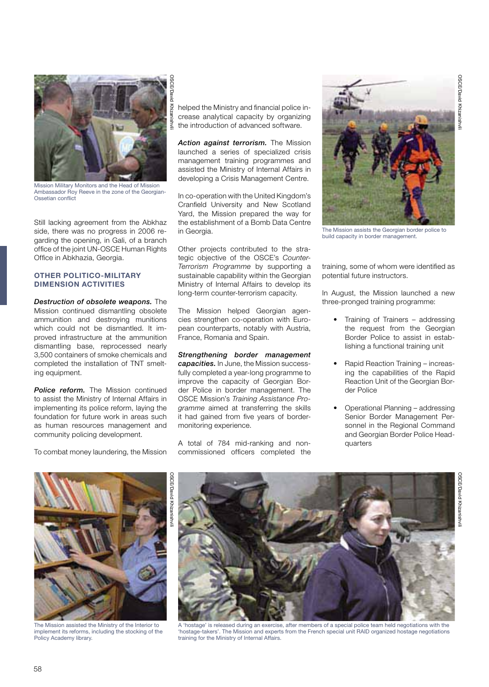

Mission Military Monitors and the Head of Mission Ambassador Roy Reeve in the zone of the Georgian-Ossetian conflict

Still lacking agreement from the Abkhaz side, there was no progress in 2006 regarding the opening, in Gali, of a branch office of the joint UN-OSCE Human Rights Office in Abkhazia, Georgia.

## **OTHER POLITICO-MILITARY DIMENSION ACTIVITIES**

*Destruction of obsolete weapons.* The Mission continued dismantling obsolete ammunition and destroying munitions which could not be dismantled. It improved infrastructure at the ammunition dismantling base, reprocessed nearly 3,500 containers of smoke chemicals and completed the installation of TNT smelting equipment.

**Police reform.** The Mission continued to assist the Ministry of Internal Affairs in implementing its police reform, laying the foundation for future work in areas such as human resources management and community policing development.

To combat money laundering, the Mission

helped the Ministry and financial police increase analytical capacity by organizing the introduction of advanced software.

*Action against terrorism.* The Mission launched a series of specialized crisis management training programmes and assisted the Ministry of Internal Affairs in developing a Crisis Management Centre.

In co-operation with the United Kingdom's Cranfield University and New Scotland Yard, the Mission prepared the way for the establishment of a Bomb Data Centre in Georgia.

Other projects contributed to the strategic objective of the OSCE's *Counter-Terrorism Programme* by supporting a sustainable capability within the Georgian Ministry of Internal Affairs to develop its long-term counter-terrorism capacity.

The Mission helped Georgian agencies strengthen co-operation with European counterparts, notably with Austria, France, Romania and Spain.

*Strengthening border management capacities.* In June, the Mission successfully completed a year-long programme to improve the capacity of Georgian Border Police in border management. The OSCE Mission's *Training Assistance Programme* aimed at transferring the skills it had gained from five years of bordermonitoring experience.

A total of 784 mid-ranking and noncommissioned officers completed the



The Mission assists the Georgian border police to build capacity in border management.

training, some of whom were identified as potential future instructors.

In August, the Mission launched a new three-pronged training programme:

- Training of Trainers addressing the request from the Georgian Border Police to assist in establishing a functional training unit
- Rapid Reaction Training increasing the capabilities of the Rapid Reaction Unit of the Georgian Border Police
- Operational Planning addressing Senior Border Management Personnel in the Regional Command and Georgian Border Police Headquarters





The Mission assisted the Ministry of the Interior to implement its reforms, including the stocking of the Policy Academy library.



A 'hostage' is released during an exercise, after members of a special police team held negotiations with the 'hostage-takers'. The Mission and experts from the French special unit RAID organized hostage negotiations training for the Ministry of Internal Affairs.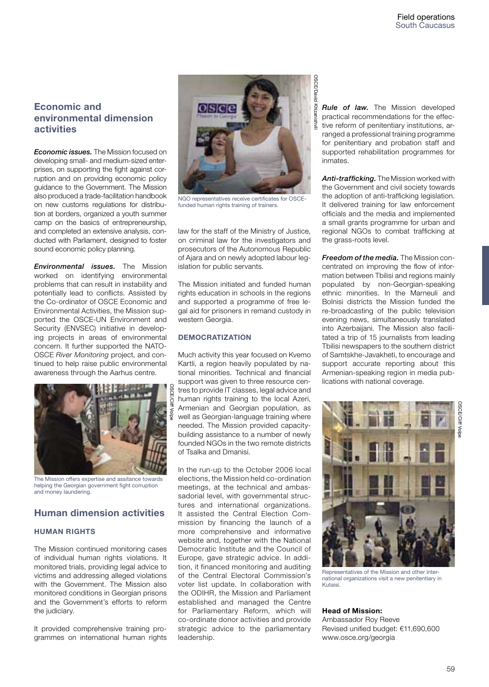# **Economic and environmental dimension activities**

*Economic issues.* The Mission focused on developing small- and medium-sized enterprises, on supporting the fight against corruption and on providing economic policy guidance to the Government. The Mission also produced a trade-facilitation handbook on new customs regulations for distribution at borders, organized a youth summer camp on the basics of entrepreneurship, and completed an extensive analysis, conducted with Parliament, designed to foster sound economic policy planning.

*Environmental issues.* The Mission worked on identifying environmental problems that can result in instability and potentially lead to conflicts. Assisted by the Co-ordinator of OSCE Economic and Environmental Activities, the Mission supported the OSCE-UN Environment and Security (ENVSEC) initiative in developing projects in areas of environmental concern. It further supported the NATO-OSCE *River Monitoring* project, and continued to help raise public environmental awareness through the Aarhus centre.



The Mission offers expertise and assitance towards helping the Georgian government fight corruption and money laundering.

## **Human dimension activities**

#### **HUMAN RIGHTS**

The Mission continued monitoring cases of individual human rights violations. It monitored trials, providing legal advice to victims and addressing alleged violations with the Government. The Mission also monitored conditions in Georgian prisons and the Government's efforts to reform the judiciary.

It provided comprehensive training programmes on international human rights



NGO representatives receive certificates for OSCEfunded human rights training of trainers.

law for the staff of the Ministry of Justice, on criminal law for the investigators and prosecutors of the Autonomous Republic of Ajara and on newly adopted labour legislation for public servants.

The Mission initiated and funded human rights education in schools in the regions and supported a programme of free legal aid for prisoners in remand custody in western Georgia.

## **DEMOCRATIZATION**

Much activity this year focused on Kvemo Kartli, a region heavily populated by national minorities. Technical and financial support was given to three resource centres to provide IT classes, legal advice and human rights training to the local Azeri, Armenian and Georgian population, as well as Georgian-language training where needed. The Mission provided capacitybuilding assistance to a number of newly founded NGOs in the two remote districts of Tsalka and Dmanisi.

In the run-up to the October 2006 local elections, the Mission held co-ordination meetings, at the technical and ambassadorial level, with governmental structures and international organizations. It assisted the Central Election Commission by financing the launch of a more comprehensive and informative website and, together with the National Democratic Institute and the Council of Europe, gave strategic advice. In addition, it financed monitoring and auditing of the Central Electoral Commission's voter list update. In collaboration with the ODIHR, the Mission and Parliament established and managed the Centre for Parliamentary Reform, which will co-ordinate donor activities and provide strategic advice to the parliamentary leadership.

*Rule of law.* The Mission developed practical recommendations for the effective reform of penitentiary institutions, arranged a professional training programme for penitentiary and probation staff and supported rehabilitation programmes for inmates.

*Anti-trafficking.* The Mission worked with the Government and civil society towards the adoption of anti-trafficking legislation. It delivered training for law enforcement officials and the media and implemented a small grants programme for urban and regional NGOs to combat trafficking at the grass-roots level.

*Freedom of the media.* The Mission concentrated on improving the flow of information between Tbilisi and regions mainly populated by non-Georgian-speaking ethnic minorities. In the Marneuli and Bolnisi districts the Mission funded the re-broadcasting of the public television evening news, simultaneously translated into Azerbaijani. The Mission also facilitated a trip of 15 journalists from leading Tbilisi newspapers to the southern district of Samtskhe-Javakheti, to encourage and support accurate reporting about this Armenian-speaking region in media publications with national coverage.



Representatives of the Mission and other international organizations visit a new penitentiary in Kutaisi.

## **Head of Mission:**

Ambassador Roy Reeve Revised unified budget: €11,690,600 www.osce.org/georgia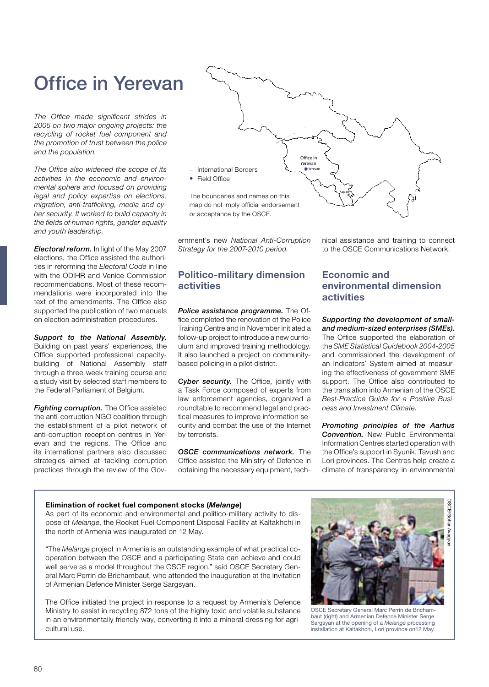# Office in Yerevan

*The Office made significant strides in 2006 on two major ongoing projects: the recycling of rocket fuel component and the promotion of trust between the police and the population.*

*The Office also widened the scope of its activities in the economic and environmental sphere and focused on providing legal and policy expertise on elections, migration, anti-trafficking, media and cyber security. It worked to build capacity in the fields of human rights, gender equality and youth leadership.*

*Electoral reform.* In light of the May 2007 elections, the Office assisted the authorities in reforming the *Electoral Code* in line with the ODIHR and Venice Commission recommendations. Most of these recommendations were incorporated into the text of the amendments. The Office also supported the publication of two manuals on election administration procedures.

*Support to the National Assembly.* Building on past years' experiences, the Office supported professional capacitybuilding of National Assembly staff through a three-week training course and a study visit by selected staff members to the Federal Parliament of Belgium.

*Fighting corruption.* The Office assisted the anti-corruption NGO coalition through the establishment of a pilot network of anti-corruption reception centres in Yerevan and the regions. The Office and its international partners also discussed strategies aimed at tackling corruption practices through the review of the Gov-



ernment's new *National Anti-Corruption Strategy for the 2007-2010 period.* 

# **Politico-military dimension activities**

*Police assistance programme.* The Office completed the renovation of the Police Training Centre and in November initiated a follow-up project to introduce a new curriculum and improved training methodology. It also launched a project on communitybased policing in a pilot district.

Cyber security. The Office, jointly with a Task Force composed of experts from law enforcement agencies, organized a roundtable to recommend legal and practical measures to improve information security and combat the use of the Internet by terrorists.

*OSCE communications network.* The Office assisted the Ministry of Defence in obtaining the necessary equipment, tech-

#### nical assistance and training to connect to the OSCE Communications Network.

# **Economic and environmental dimension activities**

*Supporting the development of smalland medium-sized enterprises (SMEs).* The Office supported the elaboration of the *SME Statistical Guidebook 2004-2005*

and commissioned the development of an Indicators' System aimed at measuring the effectiveness of government SME support. The Office also contributed to the translation into Armenian of the OSCE *Best-Practice Guide for a Positive Business and Investment Climate.*

*Promoting principles of the Aarhus Convention.* New Public Environmental Information Centres started operation with the Office's support in Syunik, Tavush and Lori provinces. The Centres help create a climate of transparency in environmental

#### **Elimination of rocket fuel component stocks (***Melange***)**

As part of its economic and environmental and politico-military activity to dispose of *Melange*, the Rocket Fuel Component Disposal Facility at Kaltakhchi in the north of Armenia was inaugurated on 12 May.

"The *Melange* project in Armenia is an outstanding example of what practical cooperation between the OSCE and a participating State can achieve and could well serve as a model throughout the OSCE region," said OSCE Secretary General Marc Perrin de Brichambaut, who attended the inauguration at the invitation of Armenian Defence Minister Serge Sargsyan.

The Office initiated the project in response to a request by Armenia's Defence Ministry to assist in recycling 872 tons of the highly toxic and volatile substance in an environmentally friendly way, converting it into a mineral dressing for agricultural use.



OSCE Secretary General Marc Perrin de Brichambaut (right) and Armenian Defence Minister Serge Sargsyan at the opening of a *Melange* processing installation at Kaltakhchi, Lori province on12 May.